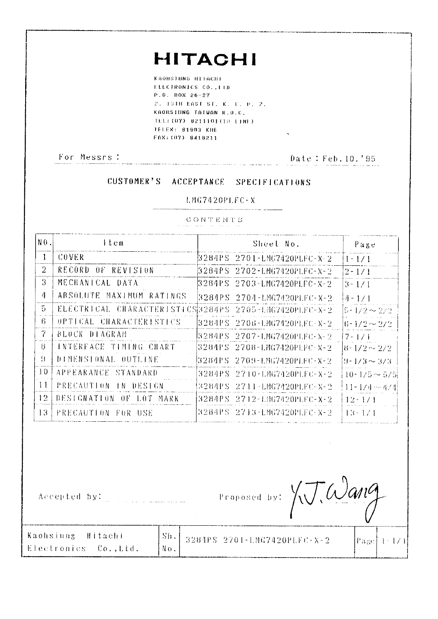# **HITACHI**

 $\frac{1}{2}$ 

 $\sim 10$ 

KAOHSIUNG HITACHI ELECTRONICS CO. . I.ID  $P. 0. B08 26 - 27$ 2, 13TH EAST ST. K. E. P. 2. KAOHSIUNG TAIWAN R.O.C. TEL: (07) 8211101(10 LINE) **TELEX: 81903 KHE** FAX: (87) 8418211

For Messrs :

# Date: Feb. 10.'95

### **CUSTOMER'S ACCEPTANCE SPECIFICATIONS**

#### $LMG7420PLFC-X$

CONTENTS

| $N0$ .          | ltem                                                  | Sheel No.                   | Page                      |
|-----------------|-------------------------------------------------------|-----------------------------|---------------------------|
| $\mathbf{1}$    | COVER.                                                | 8284PS 2701-LMG7420PLFC-X-2 | $1 - 1/1$                 |
| $\overline{2}$  | RECORD OF REVISION                                    | 3284PS 2702-LMG742OPLFC-X-3 | $12 - 171$                |
| $\mathcal{S}$   | MECHANICAL DATA                                       |                             | $3 - 1/1$                 |
| 4               | ABSOLUTE MAXIMUM RATINGS                              |                             | $14 - 171$                |
| 5.              | ELECTRICAL CHARACTERISTICS3284PS 2705-1MG7420PLFC-X-2 |                             | $[5 - 1/2 \sim 2/2]$      |
| В.              | UPTICAL CHARACTERISTICS                               |                             | $ 6 - 1/2 \sim 2/2 $      |
| 7               | <b>BLOCK DIAGRAM</b>                                  | 3284PS 2707-LMG7420PLFC-X-2 | 17-171                    |
| -8              | INTERFACE TIMING CHART                                | 3284PS 2708-LMG7420PLFC-X-2 | $ 8$ = $1/2$ $\sim$ $2/2$ |
| 9               | DIMENSIONAL OUTLINE                                   | 3284PS 2709-LMG7420PLFC-X-2 | $9 - 1/3 \sim 3/3$        |
| $\pm 0$         | APPEARANCE STANDARD                                   | 3284PS 2710-LMG7420PLFC-X-2 | $10 - 1/5 \sim 5/5$       |
| 11              | PRECAUTION IN DESIGN                                  | 3284PS 2711-LNG7420PLFC-X-2 | $ 11 - 174 - 474 $        |
| 12 <sup>°</sup> | DESIGNATION<br>OF LOT MARK                            | 3284PS 2712-LMG7420PLFC-X-2 | $12 - 1/1$                |
| 13              | PRECAUTION FOR USE                                    | 3284PS 2713-LMG7420PLFC-X-2 | $13 - 171$                |

Accepted by: which is a manufactured

Proposed by: XV. Wang

| $\frac{1}{2}$ Sh. 3284PS 2701–LMG7420PLFC–X–2<br>$\lceil \frac{p_{\text{320}}}{1 - 1 - 1} \rceil$<br>Electronics Co.,Ltd. | Kaohsiung Hitachi |  |  |
|---------------------------------------------------------------------------------------------------------------------------|-------------------|--|--|
|                                                                                                                           |                   |  |  |
|                                                                                                                           |                   |  |  |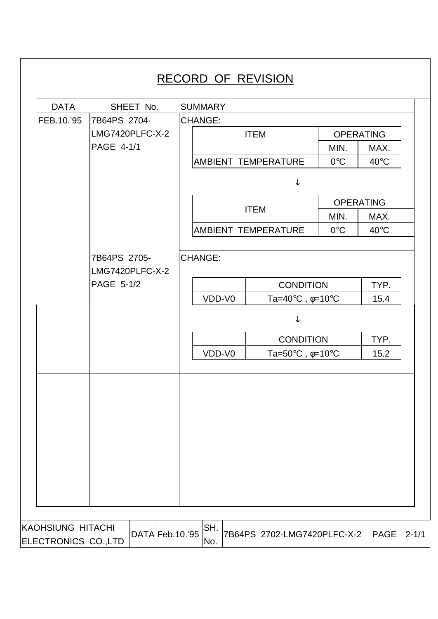|            | SHEET No.                     | <b>SUMMARY</b> |                                                                                  |                  |                |
|------------|-------------------------------|----------------|----------------------------------------------------------------------------------|------------------|----------------|
| FEB.10.'95 | 7B64PS 2704-                  | <b>CHANGE:</b> |                                                                                  |                  |                |
|            | LMG7420PLFC-X-2               |                | <b>ITEM</b>                                                                      | <b>OPERATING</b> |                |
|            | PAGE 4-1/1                    |                |                                                                                  | MIN.             | MAX.           |
|            |                               |                | <b>AMBIENT TEMPERATURE</b>                                                       | $0^{\circ}$ C    | $40^{\circ}$ C |
|            |                               |                | ↓                                                                                |                  |                |
|            |                               |                |                                                                                  | <b>OPERATING</b> |                |
|            |                               |                | <b>ITEM</b>                                                                      | MIN.             | MAX.           |
|            |                               |                | AMBIENT TEMPERATURE                                                              | $0^{\circ}$ C    | $40^{\circ}$ C |
|            | LMG7420PLFC-X-2<br>PAGE 5-1/2 | VDD-V0         | <b>CONDITION</b><br>Ta=40 $\mathrm{^{\circ}C}$ , $\phi$ =10 $\mathrm{^{\circ}C}$ |                  | TYP.<br>15.4   |
|            |                               |                |                                                                                  |                  |                |
|            |                               |                | <b>CONDITION</b>                                                                 |                  | TYP.           |
|            |                               | VDD-V0         | Ta=50 $\degree$ C, $\phi$ =10 $\degree$ C                                        |                  | 15.2           |
|            |                               |                |                                                                                  |                  |                |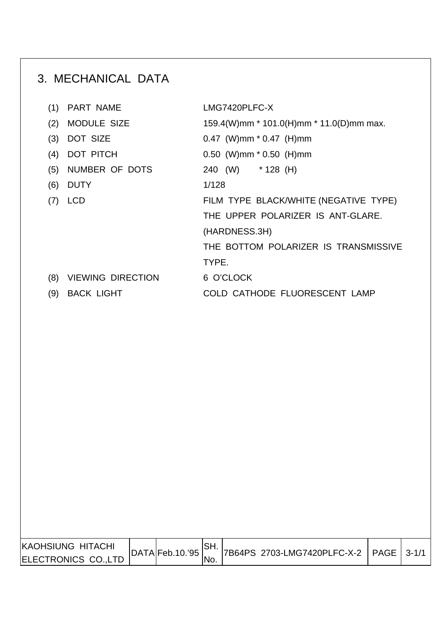# 3. MECHANICAL DATA

| <b>PART NAME</b><br>(1)         | LMG7420PLFC-X                            |
|---------------------------------|------------------------------------------|
| <b>MODULE SIZE</b><br>(2)       | 159.4(W)mm * 101.0(H)mm * 11.0(D)mm max. |
| <b>DOT SIZE</b><br>(3)          | $0.47$ (W)mm $*$ 0.47 (H)mm              |
| <b>DOT PITCH</b><br>(4)         | $0.50$ (W)mm $*$ 0.50 (H)mm              |
| NUMBER OF DOTS<br>(5)           | 240 (W) * 128 (H)                        |
| (6)<br><b>DUTY</b>              | 1/128                                    |
| <b>LCD</b>                      | FILM TYPE BLACK/WHITE (NEGATIVE TYPE)    |
|                                 | THE UPPER POLARIZER IS ANT-GLARE.        |
|                                 | (HARDNESS.3H)                            |
|                                 | THE BOTTOM POLARIZER IS TRANSMISSIVE     |
|                                 | TYPE.                                    |
| <b>VIEWING DIRECTION</b><br>(8) | 6 O'CLOCK                                |
| <b>BACK LIGHT</b><br>(9)        | COLD CATHODE FLUORESCENT LAMP            |
|                                 |                                          |

| <b>KAOHSIUNG HITACHI</b> | DATA Feb.10.95 |      | 7B64PS 2703-LMG7420PLFC-X-2   PAGE   3-1/1 |  |
|--------------------------|----------------|------|--------------------------------------------|--|
| ELECTRONICS CO., LTD     |                | 'No. |                                            |  |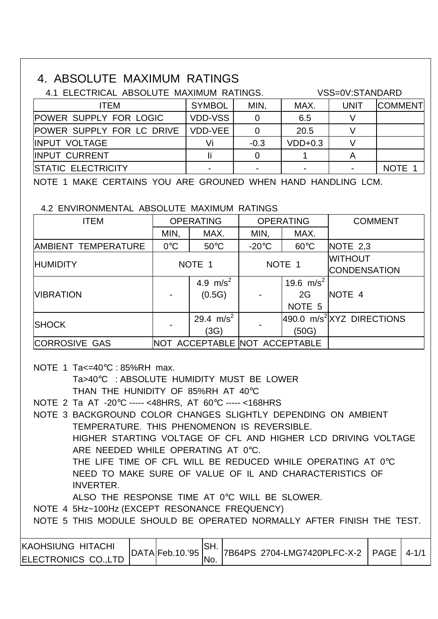### 4. ABSOLUTE MAXIMUM RATINGS

| 4.1 ELECTRICAL ABSOLUTE MAXIMUM RATINGS. |                | VSS=0V:STANDARD |                          |      |                |  |
|------------------------------------------|----------------|-----------------|--------------------------|------|----------------|--|
| <b>ITEM</b>                              | <b>SYMBOL</b>  | MIN,            | MAX.                     | UNIT | <b>COMMENT</b> |  |
| <b>POWER SUPPLY FOR LOGIC</b>            | <b>VDD-VSS</b> |                 | 6.5                      |      |                |  |
| <b>POWER SUPPLY FOR LC DRIVE</b>         | VDD-VEE        |                 | 20.5                     |      |                |  |
| <b>IINPUT VOLTAGE</b>                    |                | $-0.3$          | $VDD+0.3$                |      |                |  |
| <b>IINPUT CURRENT</b>                    |                |                 |                          |      |                |  |
| <b>ISTATIC ELECTRICITY</b>               |                |                 | $\overline{\phantom{0}}$ |      | <b>NOTE</b>    |  |

NOTE 1 MAKE CERTAINS YOU ARE GROUNED WHEN HAND HANDLING LCM.

4.2 ENVIRONMENTAL ABSOLUTE MAXIMUM RATINGS

| <b>ITEM</b>          | <b>OPERATING</b> |                               |                 | <b>OPERATING</b>                        | <b>COMMENT</b>                        |
|----------------------|------------------|-------------------------------|-----------------|-----------------------------------------|---------------------------------------|
|                      | MIN,             | MAX.                          | MIN,            | MAX.                                    |                                       |
| AMBIENT TEMPERATURE  | $0^{\circ}$ C    | $50^{\circ}$ C                | $-20^{\circ}$ C | $60^{\circ}$ C                          | NOTE 2,3                              |
| <b>HUMIDITY</b>      | NOTE 1           |                               |                 | NOTE 1                                  | <b>WITHOUT</b><br><b>CONDENSATION</b> |
| <b>VIBRATION</b>     |                  | 4.9 $m/s^2$<br>(0.5G)         |                 | 19.6 $m/s^2$<br>2G<br>NOTE <sub>5</sub> | NOTE 4                                |
| <b>SHOCK</b>         |                  | 29.4 $m/s^2$<br>(3G)          |                 | (50G)                                   | 490.0 m/s <sup>2</sup> XYZ DIRECTIONS |
| <b>CORROSIVE GAS</b> |                  | NOT ACCEPTABLE NOT ACCEPTABLE |                 |                                         |                                       |

 NOTE 1 Ta<=40°C : 85%RH max. Ta>40°C : ABSOLUTE HUMIDITY MUST BE LOWER THAN THE HUNIDITY OF 85%RH AT 40°C

NOTE 2 Ta AT -20°C ----- <48HRS, AT 60°C ----- <168HRS

ELECTRONICS CO.,LTD

 NOTE 3 BACKGROUND COLOR CHANGES SLIGHTLY DEPENDING ON AMBIENT TEMPERATURE. THIS PHENOMENON IS REVERSIBLE. HIGHER STARTING VOLTAGE OF CFL AND HIGHER LCD DRIVING VOLTAGE ARE NEEDED WHILE OPERATING AT 0°C. THE LIFE TIME OF CFL WILL BE REDUCED WHILE OPERATING AT 0°C NEED TO MAKE SURE OF VALUE OF IL AND CHARACTERISTICS OF INVERTER. ALSO THE RESPONSE TIME AT 0°C WILL BE SLOWER. NOTE 4 5Hz~100Hz (EXCEPT RESONANCE FREQUENCY) NOTE 5 THIS MODULE SHOULD BE OPERATED NORMALLY AFTER FINISH THE TEST. KAOHSIUNG HITACHI DATA Feb. 10.'95 SH. 7B64PS 2704-LMG7420PLFC-X-2 PAGE 4-1/1

No.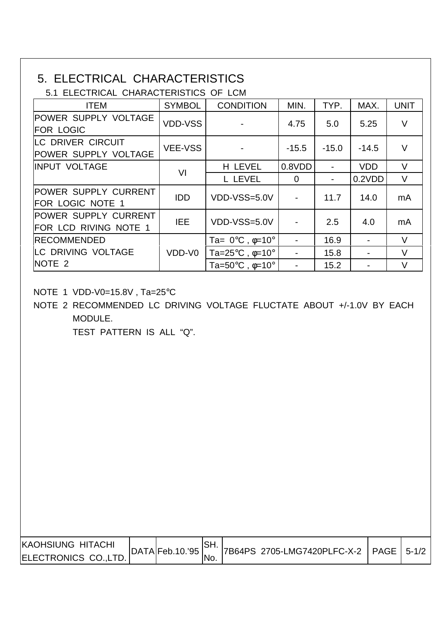## 5. ELECTRICAL CHARACTERISTICS

5.1 ELECTRICAL CHARACTERISTICS OF LCM

| <b>ITEM</b>                                             | <b>SYMBOL</b>  | <b>CONDITION</b>                                            | MIN.                     | TYP.    | MAX.       | <b>UNIT</b> |
|---------------------------------------------------------|----------------|-------------------------------------------------------------|--------------------------|---------|------------|-------------|
| POWER SUPPLY VOLTAGE<br><b>FOR LOGIC</b>                | <b>VDD-VSS</b> |                                                             | 4.75                     | 5.0     | 5.25       | $\vee$      |
| <b>LC DRIVER CIRCUIT</b><br><b>POWER SUPPLY VOLTAGE</b> | <b>VEE-VSS</b> |                                                             | $-15.5$                  | $-15.0$ | $-14.5$    | $\vee$      |
| <b>INPUT VOLTAGE</b>                                    | VI             | H LEVEL                                                     | 0.8VDD                   |         | <b>VDD</b> | $\vee$      |
|                                                         |                | L LEVEL                                                     | $\mathbf 0$              |         | 0.2VDD     | V           |
| <b>POWER SUPPLY CURRENT</b><br><b>FOR LOGIC NOTE 1</b>  | <b>IDD</b>     | VDD-VSS=5.0V                                                | $\overline{\phantom{a}}$ | 11.7    | 14.0       | mA          |
| <b>POWER SUPPLY CURRENT</b><br>FOR LCD RIVING NOTE 1    | IEE.           | VDD-VSS=5.0V                                                |                          | 2.5     | 4.0        | mA          |
| <b>IRECOMMENDED</b>                                     |                | Ta= $0^{\circ}$ C, $\phi$ =10°                              | $\overline{\phantom{a}}$ | 16.9    |            | $\vee$      |
| <b>LC DRIVING VOLTAGE</b>                               | VDD-V0         | Ta= $25^{\circ}$ C, $\phi$ =10 $^{\circ}$                   |                          | 15.8    |            | $\vee$      |
| NOTE 2                                                  |                | Ta=50 $\mathrm{^{\circ}C}$ , $\phi$ =10 $\mathrm{^{\circ}}$ |                          | 15.2    |            |             |

NOTE 1 VDD-V0=15.8V , Ta=25°C

 NOTE 2 RECOMMENDED LC DRIVING VOLTAGE FLUCTATE ABOUT +/-1.0V BY EACH MODULE.

TEST PATTERN IS ALL "Q".

| <b>KAOHSIUNG HITACHI</b> | DATA Feb.10.95 |      | 7B64PS 2705-LMG7420PLFC-X-2   PAGE   5-1/2 |  |
|--------------------------|----------------|------|--------------------------------------------|--|
| ELECTRONICS CO., LTD.    |                | 'No. |                                            |  |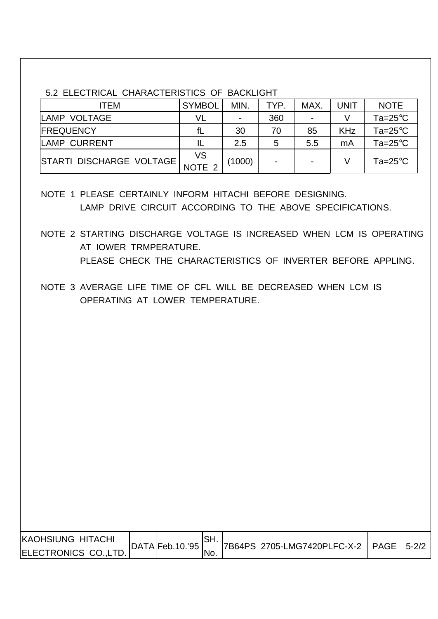#### 5.2 ELECTRICAL CHARACTERISTICS OF BACKLIGHT

| ITEM                     | <b>SYMBOL</b>           | MIN.           | TYP.           | <b>MAX</b>     | UNIT       | <b>NOTE</b>                |
|--------------------------|-------------------------|----------------|----------------|----------------|------------|----------------------------|
| LAMP VOLTAGE             | VL                      | $\blacksquare$ | 360            | $\blacksquare$ |            | Ta=25 $\mathrm{^{\circ}C}$ |
| <b>IFREQUENCY</b>        | fL                      | 30             | 70             | 85             | <b>KHz</b> | Ta=25 $\mathrm{^{\circ}C}$ |
| LAMP CURRENT             |                         | 2.5            | 5              | 5.5            | mA         | Ta= $25^{\circ}$ C         |
| STARTI DISCHARGE VOLTAGE | VS<br>NOTE <sub>2</sub> | (1000)         | $\blacksquare$ | $\blacksquare$ |            | Ta=25 $\mathrm{^{\circ}C}$ |

- NOTE 1 PLEASE CERTAINLY INFORM HITACHI BEFORE DESIGNING. LAMP DRIVE CIRCUIT ACCORDING TO THE ABOVE SPECIFICATIONS.
- NOTE 2 STARTING DISCHARGE VOLTAGE IS INCREASED WHEN LCM IS OPERATING AT IOWER TRMPERATURE. PLEASE CHECK THE CHARACTERISTICS OF INVERTER BEFORE APPLING.
- NOTE 3 AVERAGE LIFE TIME OF CFL WILL BE DECREASED WHEN LCM IS OPERATING AT LOWER TEMPERATURE.

| <b>IKAOHSIUNG HITACHI</b> |                |      |                                            |  |
|---------------------------|----------------|------|--------------------------------------------|--|
|                           | DATA Feb.10.95 |      | 7B64PS 2705-LMG7420PLFC-X-2   PAGE   5-2/2 |  |
| ELECTRONICS CO.,LTD.      |                | 'No. |                                            |  |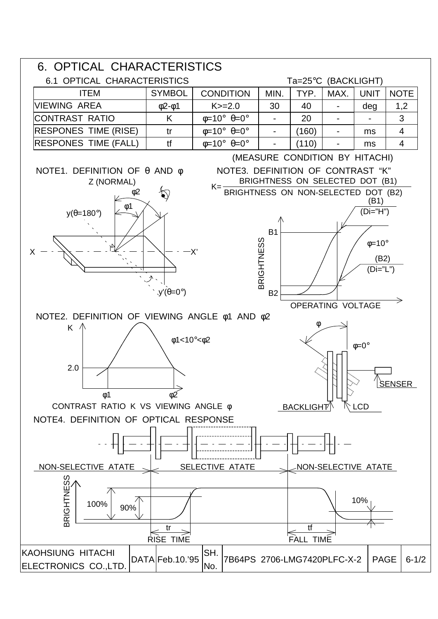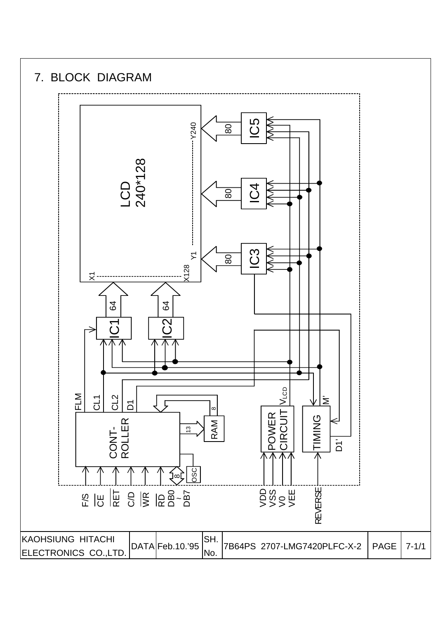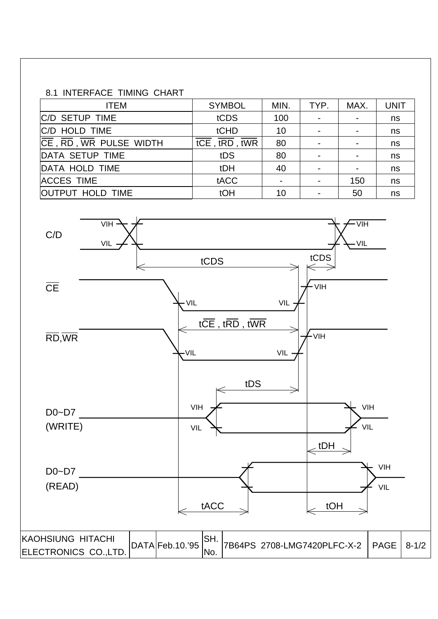#### 8.1 INTERFACE TIMING CHART

| <b>ITEM</b>                                                     | <b>SYMBOL</b>                                                               | MIN. | TYP. | MAX. | <b>UNIT</b> |
|-----------------------------------------------------------------|-----------------------------------------------------------------------------|------|------|------|-------------|
| <b>C/D SETUP TIME</b>                                           | tCDS                                                                        | 100  |      |      | ns          |
| C/D HOLD TIME                                                   | tCHD                                                                        | 10   |      |      | ns          |
| $\overline{CE}$ , $\overline{RD}$ , $\overline{WR}$ PULSE WIDTH | $\overline{\text{tCE}}$ , $\overline{\text{tRD}}$ , $\overline{\text{tWR}}$ | 80   |      |      | ns          |
| DATA SETUP TIME                                                 | tDS                                                                         | 80   |      |      | ns          |
| DATA HOLD TIME                                                  | tDH                                                                         | 40   |      |      | ns          |
| <b>ACCES TIME</b>                                               | tACC                                                                        |      |      | 150  | ns          |
| <b>OUTPUT HOLD TIME</b>                                         | tOH                                                                         | 10   |      | 50   | ns          |

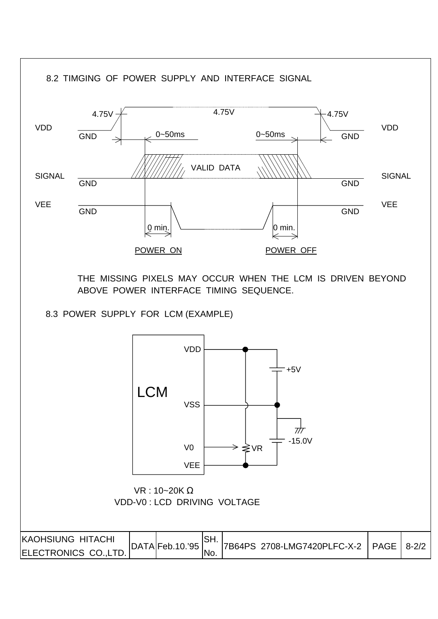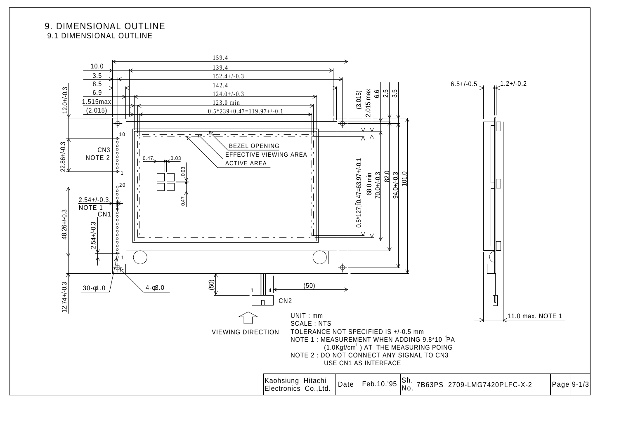#### 9. DIMENSIONAL OUTLINE 9.1 DIMENSIONAL OUTLINE

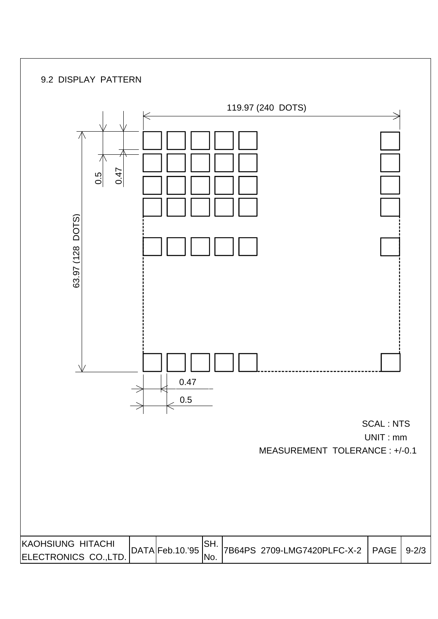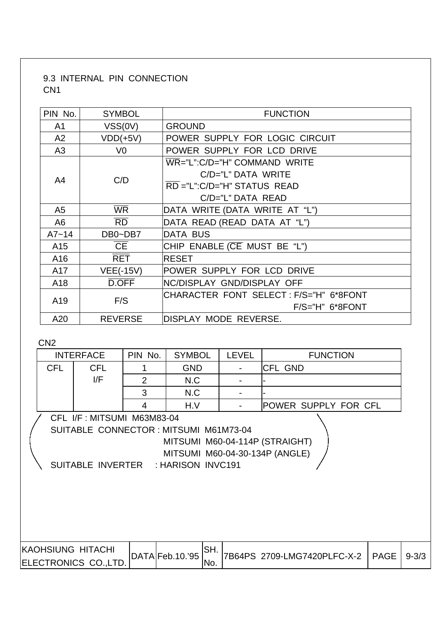### 9.3 INTERNAL PIN CONNECTION CN1

| PIN No.         | <b>SYMBOL</b>    | <b>FUNCTION</b>                       |  |  |  |  |
|-----------------|------------------|---------------------------------------|--|--|--|--|
| A <sub>1</sub>  | VSS(0V)          | <b>GROUND</b>                         |  |  |  |  |
| A2              | $VDD(+5V)$       | POWER SUPPLY FOR LOGIC CIRCUIT        |  |  |  |  |
| A <sub>3</sub>  | V <sub>0</sub>   | POWER SUPPLY FOR LCD DRIVE            |  |  |  |  |
|                 |                  | WR="L":C/D="H" COMMAND WRITE          |  |  |  |  |
| A <sub>4</sub>  | C/D              | $C/D="L"$ DATA WRITE                  |  |  |  |  |
|                 |                  | RD ="L":C/D="H" STATUS READ           |  |  |  |  |
|                 |                  | C/D="L" DATA READ                     |  |  |  |  |
| A <sub>5</sub>  | <b>WR</b>        | DATA WRITE (DATA WRITE AT "L")        |  |  |  |  |
| A <sub>6</sub>  | <b>RD</b>        | DATA READ (READ DATA AT "L")          |  |  |  |  |
| $A7 - 14$       | DB0~DB7          | <b>DATA BUS</b>                       |  |  |  |  |
| A <sub>15</sub> | <b>CE</b>        | CHIP ENABLE (CE MUST BE "L")          |  |  |  |  |
| A16             | <b>RET</b>       | <b>IRESET</b>                         |  |  |  |  |
| A17             | <b>VEE(-15V)</b> | POWER SUPPLY FOR LCD DRIVE            |  |  |  |  |
| A18             | D.OFF            | <b>INC/DISPLAY GND/DISPLAY OFF</b>    |  |  |  |  |
|                 | F/S              | CHARACTER FONT SELECT:F/S="H" 6*8FONT |  |  |  |  |
| A <sub>19</sub> |                  | $F/S="H" 6*8FONT$                     |  |  |  |  |
| A20             | <b>REVERSE</b>   | DISPLAY MODE REVERSE.                 |  |  |  |  |

CN<sub>2</sub>

|                                                                                                                                                                                |            | <b>INTERFACE</b>                                  | PIN No.        | <b>SYMBOL</b>    |            | <b>LEVEL</b> | <b>FUNCTION</b>             |             |           |
|--------------------------------------------------------------------------------------------------------------------------------------------------------------------------------|------------|---------------------------------------------------|----------------|------------------|------------|--------------|-----------------------------|-------------|-----------|
|                                                                                                                                                                                | <b>CFL</b> | <b>CFL</b>                                        |                | <b>GND</b>       |            |              | <b>CFL GND</b>              |             |           |
|                                                                                                                                                                                |            | I/F                                               | $\overline{2}$ | N.C              |            |              |                             |             |           |
|                                                                                                                                                                                |            |                                                   | 3              | N.C              |            |              |                             |             |           |
|                                                                                                                                                                                |            |                                                   | 4              | H.V              |            |              | <b>POWER SUPPLY FOR CFL</b> |             |           |
| CFL I/F: MITSUMI M63M83-04<br>SUITABLE CONNECTOR: MITSUMI M61M73-04<br>MITSUMI M60-04-114P (STRAIGHT)<br>MITSUMI M60-04-30-134P (ANGLE)<br>SUITABLE INVERTER : HARISON INVC191 |            |                                                   |                |                  |            |              |                             |             |           |
|                                                                                                                                                                                |            | <b>KAOHSIUNG HITACHI</b><br>ELECTRONICS CO., LTD. |                | DATA Feb. 10.'95 | SH.<br>No. |              | 7B64PS 2709-LMG7420PLFC-X-2 | <b>PAGE</b> | $9 - 3/3$ |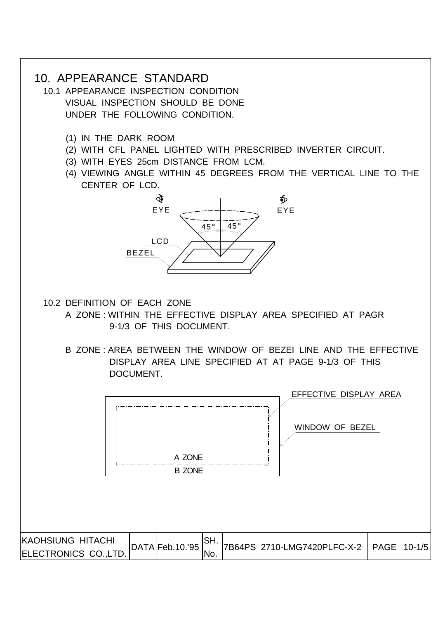### 10. APPEARANCE STANDARD

- 10.1 APPEARANCE INSPECTION CONDITION VISUAL INSPECTION SHOULD BE DONE UNDER THE FOLLOWING CONDITION.
	- (1) IN THE DARK ROOM
	- (2) WITH CFL PANEL LIGHTED WITH PRESCRIBED INVERTER CIRCUIT.
	- (3) WITH EYES 25cm DISTANCE FROM LCM.
	- (4) VIEWING ANGLE WITHIN 45 DEGREES FROM THE VERTICAL LINE TO THE CENTER OF LCD.



- 10.2 DEFINITION OF EACH ZONE
	- A ZONE : WITHIN THE EFFECTIVE DISPLAY AREA SPECIFIED AT PAGR 9-1/3 OF THIS DOCUMENT.
	- B ZONE : AREA BETWEEN THE WINDOW OF BEZEI LINE AND THE EFFECTIVE DISPLAY AREA LINE SPECIFIED AT AT PAGE 9-1/3 OF THIS DOCUMENT.

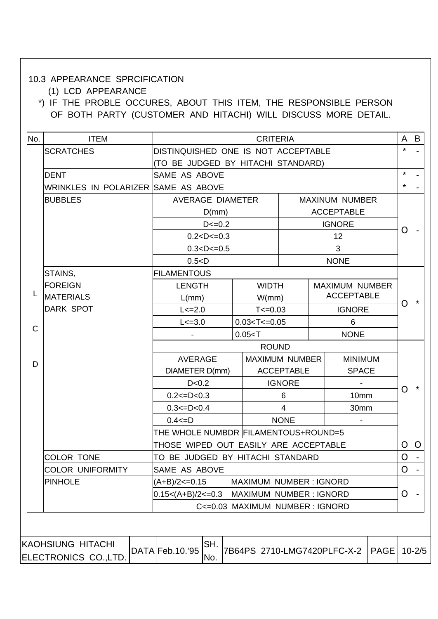#### 10.3 APPEARANCE SPRCIFICATION

(1) LCD APPEARANCE

 \*) IF THE PROBLE OCCURES, ABOUT THIS ITEM, THE RESPONSIBLE PERSON OF BOTH PARTY (CUSTOMER AND HITACHI) WILL DISCUSS MORE DETAIL.

|              | <b>ITEM</b>                               | <b>CRITERIA</b>                             |                          |                         |                               |    |                       | A           | B              |            |
|--------------|-------------------------------------------|---------------------------------------------|--------------------------|-------------------------|-------------------------------|----|-----------------------|-------------|----------------|------------|
|              | <b>SCRATCHES</b>                          | DISTINQUISHED ONE IS NOT ACCEPTABLE         |                          |                         |                               |    |                       |             | $\star$        |            |
|              |                                           | (TO BE JUDGED BY HITACHI STANDARD)          |                          |                         |                               |    |                       |             |                |            |
|              | <b>DENT</b>                               | <b>SAME AS ABOVE</b>                        |                          |                         |                               |    |                       |             | $\star$        |            |
|              | WRINKLES IN POLARIZER SAME AS ABOVE       |                                             |                          |                         |                               |    |                       |             | $\star$        |            |
|              | <b>BUBBLES</b>                            |                                             |                          | <b>AVERAGE DIAMETER</b> |                               |    | <b>MAXINUM NUMBER</b> |             |                |            |
|              |                                           |                                             | D(mm)                    |                         |                               |    | <b>ACCEPTABLE</b>     |             |                |            |
|              |                                           |                                             | $D < = 0.2$              |                         |                               |    | <b>IGNORE</b>         |             | $\overline{O}$ |            |
|              |                                           |                                             | $0.2 < D < = 0.3$        |                         |                               | 12 |                       |             |                |            |
|              |                                           |                                             | $0.3 < D < = 0.5$        |                         |                               |    | 3                     |             |                |            |
|              |                                           | 0.5 < D                                     |                          |                         |                               |    | <b>NONE</b>           |             |                |            |
|              | STAINS,                                   | <b>FILAMENTOUS</b>                          |                          |                         |                               |    |                       |             |                |            |
|              | <b>FOREIGN</b>                            | <b>LENGTH</b>                               |                          |                         | <b>WIDTH</b>                  |    | <b>MAXIMUM NUMBER</b> |             |                |            |
| L            | <b>MATERIALS</b>                          | $L/mm$ )                                    |                          |                         | W/mm)                         |    | <b>ACCEPTABLE</b>     |             | O              | $\star$    |
|              | <b>DARK SPOT</b>                          | $L < = 2.0$                                 |                          |                         | $T < = 0.03$                  |    | <b>IGNORE</b>         |             |                |            |
| $\mathsf{C}$ |                                           | $L < = 3.0$                                 | $0.03 < T < = 0.05$<br>6 |                         |                               |    |                       |             |                |            |
|              |                                           | <b>NONE</b><br>0.05 < T                     |                          |                         |                               |    |                       |             |                |            |
|              |                                           | <b>ROUND</b>                                |                          |                         |                               |    |                       |             |                |            |
| D            |                                           | <b>AVERAGE</b>                              |                          |                         | <b>MAXIMUM NUMBER</b>         |    | <b>MINIMUM</b>        |             |                |            |
|              |                                           | DIAMETER D(mm)                              |                          |                         | <b>ACCEPTABLE</b>             |    | <b>SPACE</b>          |             |                |            |
|              |                                           | D < 0.2                                     |                          |                         | <b>IGNORE</b>                 |    |                       |             | $\overline{O}$ | $\star$    |
|              |                                           | $0.2 < = D < 0.3$                           |                          |                         | 6                             |    | 10mm                  |             |                |            |
|              |                                           | $0.3 < = D < 0.4$                           |                          |                         | $\overline{4}$                |    | 30mm                  |             |                |            |
|              |                                           | $0.4 \le D$                                 |                          |                         | <b>NONE</b>                   |    |                       |             |                |            |
|              |                                           | THE WHOLE NUMBDR FILAMENTOUS+ROUND=5        |                          |                         |                               |    |                       |             |                |            |
|              |                                           | THOSE WIPED OUT EASILY ARE ACCEPTABLE       |                          |                         |                               |    |                       |             | $\mathcal{O}$  | $\Omega$   |
|              | <b>COLOR TONE</b>                         | TO BE JUDGED BY HITACHI STANDARD            |                          |                         |                               |    |                       |             | $\Omega$       |            |
|              | <b>COLOR UNIFORMITY</b>                   | <b>SAME AS ABOVE</b>                        |                          |                         |                               |    |                       |             | $\mathbf O$    |            |
|              | <b>PINHOLE</b>                            | (A+B)/2<=0.15                               |                          |                         | <b>MAXIMUM NUMBER: IGNORD</b> |    |                       |             |                |            |
|              |                                           | $0.15<(A+B)/2<=0.3$ MAXIMUM NUMBER : IGNORD |                          |                         |                               |    |                       | $\Omega$    |                |            |
|              |                                           | C<= 0.03 MAXIMUM NUMBER : IGNORD            |                          |                         |                               |    |                       |             |                |            |
|              |                                           |                                             |                          |                         |                               |    |                       |             |                |            |
|              | KAOHSIUNG HITACHI<br>ELECTRONICS CO.,LTD. | DATA Feb. 10.'95                            | SH.<br>No.               |                         | 7B64PS 2710-LMG7420PLFC-X-2   |    |                       | <b>PAGE</b> |                | $10 - 2/5$ |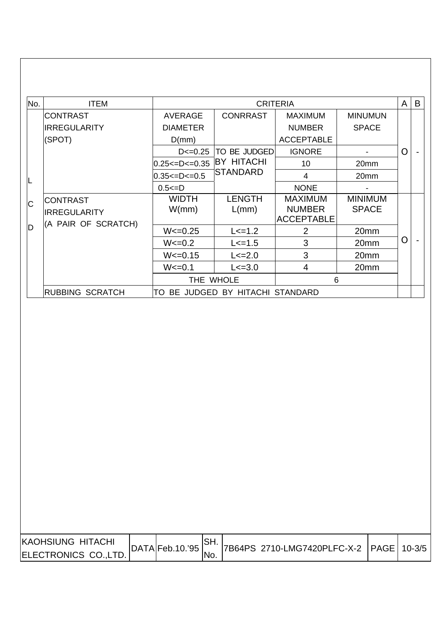| No. | <b>ITEM</b>                                      |                                            | <b>CRITERIA</b>                      |                                                      |                                | A              | B |
|-----|--------------------------------------------------|--------------------------------------------|--------------------------------------|------------------------------------------------------|--------------------------------|----------------|---|
|     | <b>CONTRAST</b><br><b>IRREGULARITY</b><br>(SPOT) | <b>AVERAGE</b><br><b>DIAMETER</b><br>D(mm) | <b>CONRRAST</b>                      | <b>MAXIMUM</b><br><b>NUMBER</b><br><b>ACCEPTABLE</b> | <b>MINUMUN</b><br><b>SPACE</b> |                |   |
|     |                                                  | $D \le 0.25$                               | TO BE JUDGED                         | <b>IGNORE</b>                                        |                                | $\overline{O}$ |   |
|     |                                                  | $0.25 < =D < 0.35$<br>$0.35 < = D < 0.5$   | <b>BY HITACHI</b><br><b>STANDARD</b> | 10<br>4                                              | 20mm<br>20 <sub>mm</sub>       |                |   |
| ∟   |                                                  | $0.5 \le D$                                |                                      | <b>NONE</b>                                          |                                |                |   |
| C   | <b>CONTRAST</b><br><b>IRREGULARITY</b>           | <b>WIDTH</b><br>W/mm)                      | <b>LENGTH</b><br>L/mm                | <b>MAXIMUM</b><br><b>NUMBER</b><br><b>ACCEPTABLE</b> | <b>MINIMUM</b><br><b>SPACE</b> |                |   |
| D   | (A PAIR OF SCRATCH)                              | $W < = 0.25$                               | $L < = 1.2$                          | $\overline{2}$                                       | 20mm                           |                |   |
|     |                                                  | $W < = 0.2$                                | $L < = 1.5$                          | 3                                                    | 20mm                           | O              |   |
|     |                                                  | $W < = 0.15$                               | $L < = 2.0$                          | 3                                                    | 20 <sub>mm</sub>               |                |   |
|     |                                                  | $W < = 0.1$                                | $L < = 3.0$                          | $\overline{4}$                                       | 20mm                           |                |   |
|     |                                                  |                                            | THE WHOLE                            | 6                                                    |                                |                |   |
|     | <b>RUBBING SCRATCH</b>                           | TO                                         | BE JUDGED BY HITACHI STANDARD        |                                                      |                                |                |   |

| <b>KAOHSIUNG HITACHI</b> | DATA Feb.10.95 |     | 7B64PS 2710-LMG7420PLFC-X-2   PAGE   10-3/5 |  |
|--------------------------|----------------|-----|---------------------------------------------|--|
| ELECTRONICS CO., LTD.    |                | NO. |                                             |  |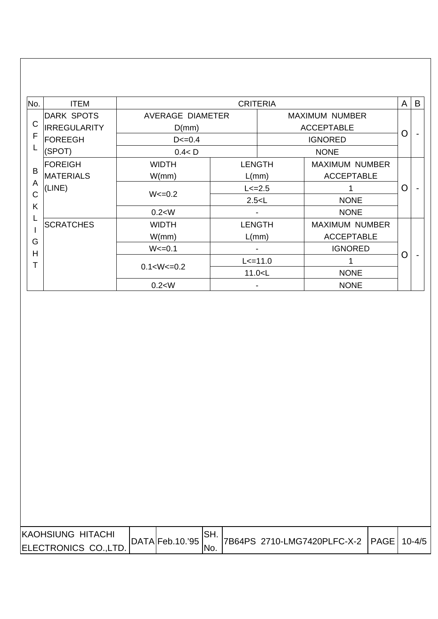| No.                         | <b>ITEM</b>                                                                                                       |                                                           | <b>CRITERIA</b>                                       |                                                                                  | A        | B |
|-----------------------------|-------------------------------------------------------------------------------------------------------------------|-----------------------------------------------------------|-------------------------------------------------------|----------------------------------------------------------------------------------|----------|---|
| $\mathsf C$                 | <b>DARK SPOTS</b><br><b>IRREGULARITY</b><br>D(mm)<br>F<br><b>FOREEGH</b><br>$D < = 0.4$<br>L<br>(SPOT)<br>0.4 < D | <b>AVERAGE DIAMETER</b>                                   | <b>MAXIMUM NUMBER</b><br><b>ACCEPTABLE</b>            |                                                                                  |          |   |
|                             |                                                                                                                   |                                                           | <b>IGNORED</b><br><b>NONE</b>                         |                                                                                  |          |   |
| B<br>A<br>$\mathsf{C}$<br>Κ | <b>FOREIGH</b><br><b>MATERIALS</b><br>(LINE)                                                                      | <b>WIDTH</b><br>W/mm)<br>$W < = 0.2$<br>0.2 < W           | <b>LENGTH</b><br>L(mm)<br>$L < = 2.5$<br>2.5 < L      | <b>MAXIMUM NUMBER</b><br><b>ACCEPTABLE</b><br><b>NONE</b><br><b>NONE</b>         | $\Omega$ |   |
| L<br>G<br>H<br>Т            | <b>SCRATCHES</b>                                                                                                  | <b>WIDTH</b><br>W/mm)<br>$W < = 0.1$<br>$0.1 < W < = 0.2$ | <b>LENGTH</b><br>$L/mm$ )<br>$L < = 11.0$<br>11.0 < L | <b>MAXIMUM NUMBER</b><br><b>ACCEPTABLE</b><br><b>IGNORED</b><br>1<br><b>NONE</b> | $\rm{O}$ |   |
|                             |                                                                                                                   | 0.2 < W                                                   |                                                       | <b>NONE</b>                                                                      |          |   |

| <b>KAOHSIUNG HITACHI</b> |                | 7B64PS 2710-LMG7420PLFC-X-2 PAGE 10-4/5 |  |
|--------------------------|----------------|-----------------------------------------|--|
| ELECTRONICS CO., LTD.    | DATA Feb.10.95 |                                         |  |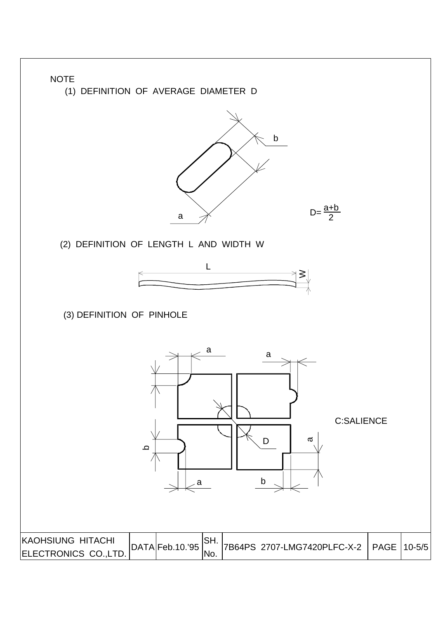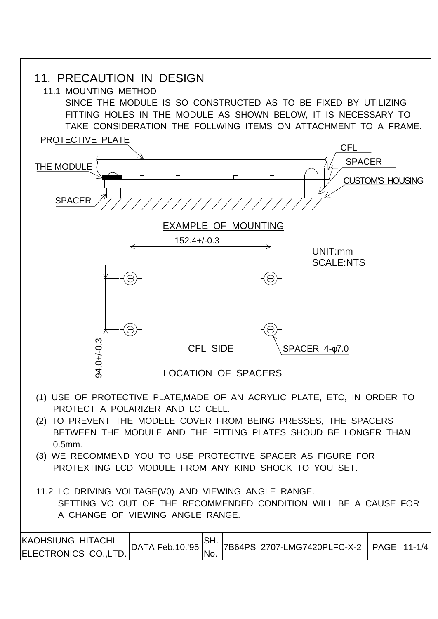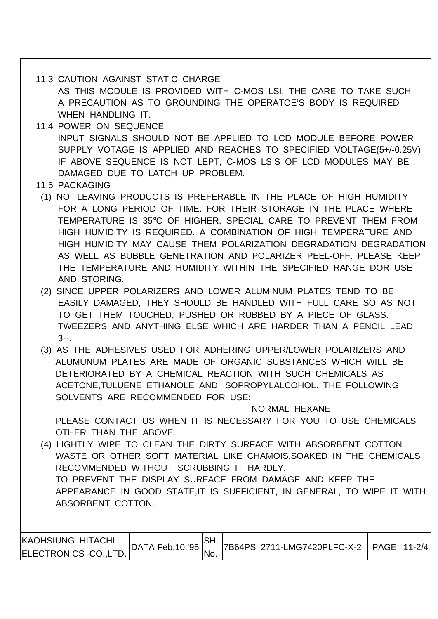#### 11.3 CAUTION AGAINST STATIC CHARGE

 AS THIS MODULE IS PROVIDED WITH C-MOS LSI, THE CARE TO TAKE SUCH A PRECAUTION AS TO GROUNDING THE OPERATOE'S BODY IS REQUIRED WHEN HANDLING IT.

- 11.4 POWER ON SEQUENCE INPUT SIGNALS SHOULD NOT BE APPLIED TO LCD MODULE BEFORE POWER SUPPLY VOTAGE IS APPLIED AND REACHES TO SPECIFIED VOLTAGE(5+/-0.25V) IF ABOVE SEQUENCE IS NOT LEPT, C-MOS LSIS OF LCD MODULES MAY BE DAMAGED DUE TO LATCH UP PROBLEM.
- 11.5 PACKAGING
- (1) NO. LEAVING PRODUCTS IS PREFERABLE IN THE PLACE OF HIGH HUMIDITY FOR A LONG PERIOD OF TIME. FOR THEIR STORAGE IN THE PLACE WHERE TEMPERATURE IS 35°C OF HIGHER. SPECIAL CARE TO PREVENT THEM FROM HIGH HUMIDITY IS REQUIRED. A COMBINATION OF HIGH TEMPERATURE AND HIGH HUMIDITY MAY CAUSE THEM POLARIZATION DEGRADATION DEGRADATION AS WELL AS BUBBLE GENETRATION AND POLARIZER PEEL-OFF. PLEASE KEEP THE TEMPERATURE AND HUMIDITY WITHIN THE SPECIFIED RANGE DOR USE AND STORING.
- (2) SINCE UPPER POLARIZERS AND LOWER ALUMINUM PLATES TEND TO BE EASILY DAMAGED, THEY SHOULD BE HANDLED WITH FULL CARE SO AS NOT TO GET THEM TOUCHED, PUSHED OR RUBBED BY A PIECE OF GLASS. TWEEZERS AND ANYTHING ELSE WHICH ARE HARDER THAN A PENCIL LEAD 3H.
- (3) AS THE ADHESIVES USED FOR ADHERING UPPER/LOWER POLARIZERS AND ALUMUNUM PLATES ARE MADE OF ORGANIC SUBSTANCES WHICH WILL BE DETERIORATED BY A CHEMICAL REACTION WITH SUCH CHEMICALS AS ACETONE,TULUENE ETHANOLE AND ISOPROPYLALCOHOL. THE FOLLOWING SOLVENTS ARE RECOMMENDED FOR USE:

NORMAL HEXANE

 PLEASE CONTACT US WHEN IT IS NECESSARY FOR YOU TO USE CHEMICALS OTHER THAN THE ABOVE.

 (4) LIGHTLY WIPE TO CLEAN THE DIRTY SURFACE WITH ABSORBENT COTTON WASTE OR OTHER SOFT MATERIAL LIKE CHAMOIS,SOAKED IN THE CHEMICALS RECOMMENDED WITHOUT SCRUBBING IT HARDLY. TO PREVENT THE DISPLAY SURFACE FROM DAMAGE AND KEEP THE APPEARANCE IN GOOD STATE,IT IS SUFFICIENT, IN GENERAL, TO WIPE IT WITH ABSORBENT COTTON.

| KAOHSIUNG HITACHI     |                 | ISH. |                                            |  |
|-----------------------|-----------------|------|--------------------------------------------|--|
| ELECTRONICS CO., LTD. | DATA Feb.10.'95 | 'No. | 7B64PS 2711-LMG7420PLFC-X-2   PAGE 111-2/4 |  |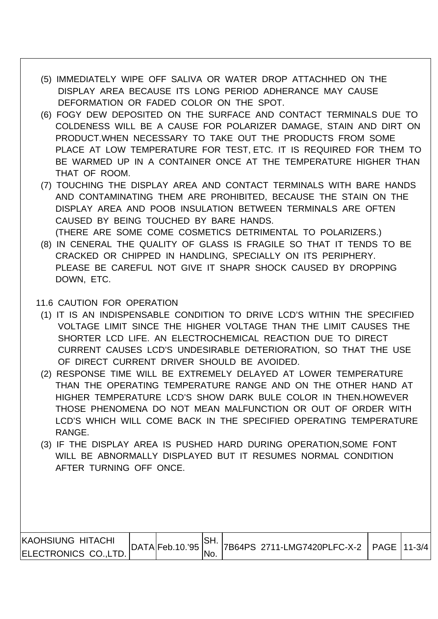- (5) IMMEDIATELY WIPE OFF SALIVA OR WATER DROP ATTACHHED ON THE DISPLAY AREA BECAUSE ITS LONG PERIOD ADHERANCE MAY CAUSE DEFORMATION OR FADED COLOR ON THE SPOT.
- (6) FOGY DEW DEPOSITED ON THE SURFACE AND CONTACT TERMINALS DUE TO COLDENESS WILL BE A CAUSE FOR POLARIZER DAMAGE, STAIN AND DIRT ON PRODUCT.WHEN NECESSARY TO TAKE OUT THE PRODUCTS FROM SOME PLACE AT LOW TEMPERATURE FOR TEST, ETC. IT IS REQUIRED FOR THEM TO BE WARMED UP IN A CONTAINER ONCE AT THE TEMPERATURE HIGHER THAN THAT OF ROOM.
- (7) TOUCHING THE DISPLAY AREA AND CONTACT TERMINALS WITH BARE HANDS AND CONTAMINATING THEM ARE PROHIBITED, BECAUSE THE STAIN ON THE DISPLAY AREA AND POOB INSULATION BETWEEN TERMINALS ARE OFTEN CAUSED BY BEING TOUCHED BY BARE HANDS.
- (THERE ARE SOME COME COSMETICS DETRIMENTAL TO POLARIZERS.) (8) IN CENERAL THE QUALITY OF GLASS IS FRAGILE SO THAT IT TENDS TO BE CRACKED OR CHIPPED IN HANDLING, SPECIALLY ON ITS PERIPHERY. PLEASE BE CAREFUL NOT GIVE IT SHAPR SHOCK CAUSED BY DROPPING DOWN, ETC.

#### 11.6 CAUTION FOR OPERATION

- (1) IT IS AN INDISPENSABLE CONDITION TO DRIVE LCD'S WITHIN THE SPECIFIED VOLTAGE LIMIT SINCE THE HIGHER VOLTAGE THAN THE LIMIT CAUSES THE SHORTER LCD LIFE. AN ELECTROCHEMICAL REACTION DUE TO DIRECT CURRENT CAUSES LCD'S UNDESIRABLE DETERIORATION, SO THAT THE USE OF DIRECT CURRENT DRIVER SHOULD BE AVOIDED.
- (2) RESPONSE TIME WILL BE EXTREMELY DELAYED AT LOWER TEMPERATURE THAN THE OPERATING TEMPERATURE RANGE AND ON THE OTHER HAND AT HIGHER TEMPERATURE LCD'S SHOW DARK BULE COLOR IN THEN.HOWEVER THOSE PHENOMENA DO NOT MEAN MALFUNCTION OR OUT OF ORDER WITH LCD'S WHICH WILL COME BACK IN THE SPECIFIED OPERATING TEMPERATURE RANGE.
- (3) IF THE DISPLAY AREA IS PUSHED HARD DURING OPERATION,SOME FONT WILL BE ABNORMALLY DISPLAYED BUT IT RESUMES NORMAL CONDITION AFTER TURNING OFF ONCE.

| KAOHSIUNG HITACHI            | DATA Feb.10.95 |      | 7B64PS 2711-LMG7420PLFC-X-2   PAGE 11-3/4 |  |
|------------------------------|----------------|------|-------------------------------------------|--|
| <b>IELECTRONICS CO.,LTD.</b> |                | 'No. |                                           |  |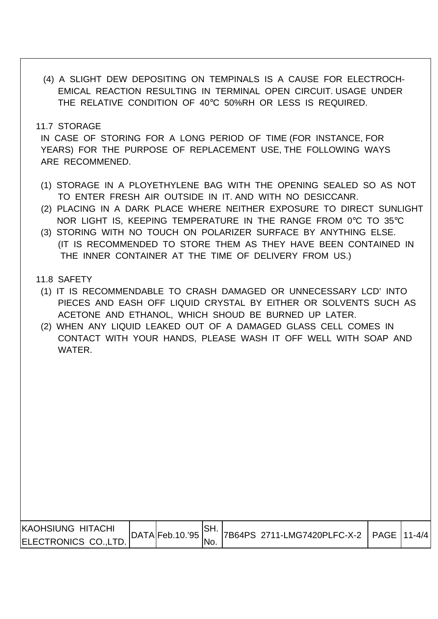(4) A SLIGHT DEW DEPOSITING ON TEMPINALS IS A CAUSE FOR ELECTROCH- EMICAL REACTION RESULTING IN TERMINAL OPEN CIRCUIT. USAGE UNDER THE RELATIVE CONDITION OF 40°C 50%RH OR LESS IS REQUIRED.

11.7 STORAGE

 IN CASE OF STORING FOR A LONG PERIOD OF TIME (FOR INSTANCE, FOR YEARS) FOR THE PURPOSE OF REPLACEMENT USE, THE FOLLOWING WAYS ARE RECOMMENED.

- (1) STORAGE IN A PLOYETHYLENE BAG WITH THE OPENING SEALED SO AS NOT TO ENTER FRESH AIR OUTSIDE IN IT. AND WITH NO DESICCANR.
- (2) PLACING IN A DARK PLACE WHERE NEITHER EXPOSURE TO DIRECT SUNLIGHT NOR LIGHT IS, KEEPING TEMPERATURE IN THE RANGE FROM 0°C TO 35°C
- (3) STORING WITH NO TOUCH ON POLARIZER SURFACE BY ANYTHING ELSE. (IT IS RECOMMENDED TO STORE THEM AS THEY HAVE BEEN CONTAINED IN THE INNER CONTAINER AT THE TIME OF DELIVERY FROM US.)
- 11.8 SAFETY
- (1) IT IS RECOMMENDABLE TO CRASH DAMAGED OR UNNECESSARY LCD' INTO PIECES AND EASH OFF LIQUID CRYSTAL BY EITHER OR SOLVENTS SUCH AS ACETONE AND ETHANOL, WHICH SHOUD BE BURNED UP LATER.
- (2) WHEN ANY LIQUID LEAKED OUT OF A DAMAGED GLASS CELL COMES IN CONTACT WITH YOUR HANDS, PLEASE WASH IT OFF WELL WITH SOAP AND WATER.

| <b>IKAOHSIUNG HITACHI</b> | DATA Feb.10.95 |     | 7B64PS 2711-LMG7420PLFC-X-2   PAGE 111-4/4 |  |
|---------------------------|----------------|-----|--------------------------------------------|--|
| ELECTRONICS CO.,LTD.      |                | No. |                                            |  |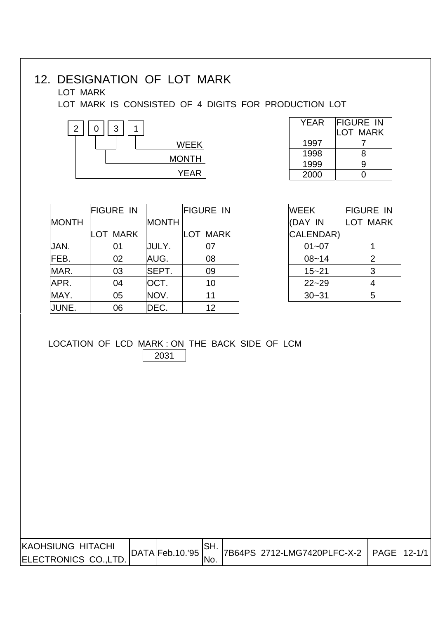# 12. DESIGNATION OF LOT MARK

### LOT MARK

LOT MARK IS CONSISTED OF 4 DIGITS FOR PRODUCTION LOT



| YEAR | <b>FIGURE IN</b><br>LOT MARK |
|------|------------------------------|
| 1997 |                              |
| 1998 | 8                            |
| 1999 | g                            |
| 2000 |                              |

|              | <b>FIGURE IN</b> |              | <b>FIGURE IN</b> | <b>WEEK</b> | <b>FIGURE</b>   |
|--------------|------------------|--------------|------------------|-------------|-----------------|
| <b>MONTH</b> |                  | <b>MONTH</b> |                  | (DAY IN     | M<br>LOT        |
|              | LOT MARK         |              | LOT MARK         | CALENDAR)   |                 |
| JAN.         | 01               | JULY.        | 07               | $01 - 07$   | 1.              |
| FEB.         | 02               | AUG.         | 08               | $08 - 14$   | 2               |
| MAR.         | 03               | SEPT.        | 09               | $15 - 21$   | 3               |
| APR.         | 04               | OCT.         | 10               | $22 - 29$   | $\overline{4}$  |
| MAY.         | 05               | NOV.         | 11               | $30 - 31$   | $5\phantom{.0}$ |
| JUNE.        | 06               | DEC.         | 12               |             |                 |

| <b>WEEK</b> | FIGURE IN       |
|-------------|-----------------|
| (DAY IN     | <b>LOT MARK</b> |
| CALENDAR)   |                 |
| 01~07       |                 |
| $08 - 14$   | 2               |
| $15 - 21$   | 3               |
| $22 - 29$   | 4               |
| $30 - 31$   | 5               |

#### LOCATION OF LCD MARK : ON THE BACK SIDE OF LCM 2031

| KAOHSIUNG HITACHI     |  | $ DATA Feb.10.^{95} $ | SH. | 7B64PS 2712-LMG7420PLFC-X-2 | PAGE 12-1/1 |  |
|-----------------------|--|-----------------------|-----|-----------------------------|-------------|--|
| ELECTRONICS CO., LTD. |  | INo.                  |     |                             |             |  |